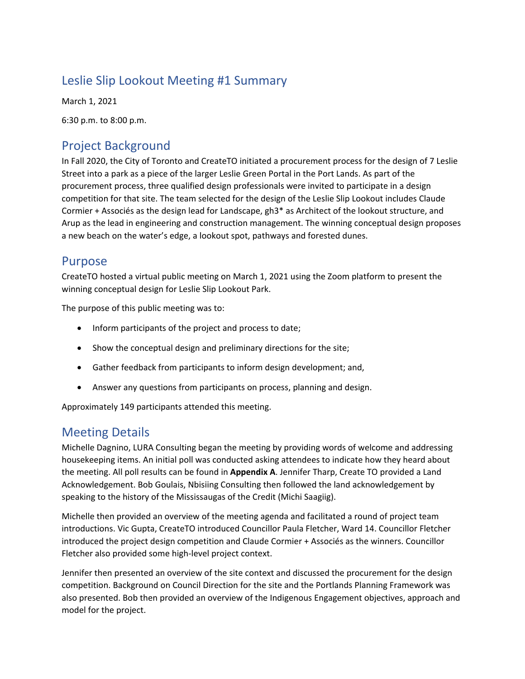# Leslie Slip Lookout Meeting #1 Summary

March 1, 2021

6:30 p.m. to 8:00 p.m.

# Project Background

In Fall 2020, the City of Toronto and CreateTO initiated a procurement process for the design of 7 Leslie Street into a park as a piece of the larger Leslie Green Portal in the Port Lands. As part of the procurement process, three qualified design professionals were invited to participate in a design competition for that site. The team selected for the design of the Leslie Slip Lookout includes Claude Cormier + Associés as the design lead for Landscape, gh3\* as Architect of the lookout structure, and Arup as the lead in engineering and construction management. The winning conceptual design proposes a new beach on the water's edge, a lookout spot, pathways and forested dunes.

## Purpose

CreateTO hosted a virtual public meeting on March 1, 2021 using the Zoom platform to present the winning conceptual design for Leslie Slip Lookout Park.

The purpose of this public meeting was to:

- Inform participants of the project and process to date;
- Show the conceptual design and preliminary directions for the site;
- Gather feedback from participants to inform design development; and,
- Answer any questions from participants on process, planning and design.

Approximately 149 participants attended this meeting.

## Meeting Details

Michelle Dagnino, LURA Consulting began the meeting by providing words of welcome and addressing housekeeping items. An initial poll was conducted asking attendees to indicate how they heard about the meeting. All poll results can be found in **Appendix A**. Jennifer Tharp, Create TO provided a Land Acknowledgement. Bob Goulais, Nbisiing Consulting then followed the land acknowledgement by speaking to the history of the Mississaugas of the Credit (Michi Saagiig).

Michelle then provided an overview of the meeting agenda and facilitated a round of project team introductions. Vic Gupta, CreateTO introduced Councillor Paula Fletcher, Ward 14. Councillor Fletcher introduced the project design competition and Claude Cormier + Associés as the winners. Councillor Fletcher also provided some high-level project context.

Jennifer then presented an overview of the site context and discussed the procurement for the design competition. Background on Council Direction for the site and the Portlands Planning Framework was also presented. Bob then provided an overview of the Indigenous Engagement objectives, approach and model for the project.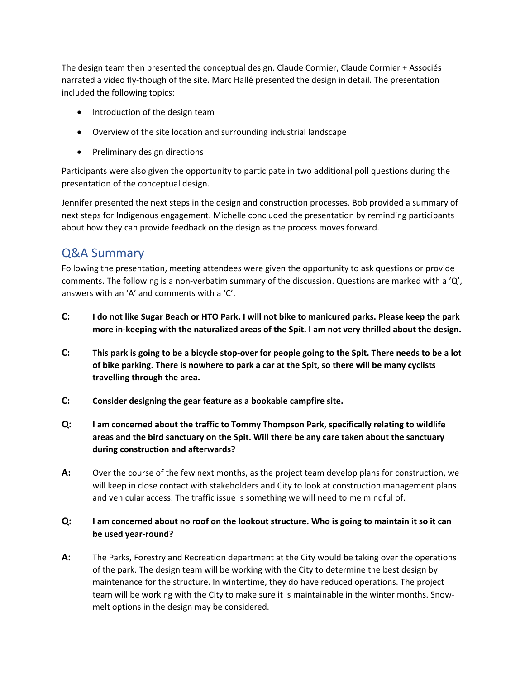The design team then presented the conceptual design. Claude Cormier, Claude Cormier + Associés narrated a video fly-though of the site. Marc Hallé presented the design in detail. The presentation included the following topics:

- Introduction of the design team
- Overview of the site location and surrounding industrial landscape
- Preliminary design directions

Participants were also given the opportunity to participate in two additional poll questions during the presentation of the conceptual design.

Jennifer presented the next steps in the design and construction processes. Bob provided a summary of next steps for Indigenous engagement. Michelle concluded the presentation by reminding participants about how they can provide feedback on the design as the process moves forward.

## Q&A Summary

Following the presentation, meeting attendees were given the opportunity to ask questions or provide comments. The following is a non-verbatim summary of the discussion. Questions are marked with a 'Q', answers with an 'A' and comments with a 'C'.

- **C: I do not like Sugar Beach or HTO Park. I will not bike to manicured parks. Please keep the park more in-keeping with the naturalized areas of the Spit. I am not very thrilled about the design.**
- **C: This park is going to be a bicycle stop-over for people going to the Spit. There needs to be a lot of bike parking. There is nowhere to park a car at the Spit, so there will be many cyclists travelling through the area.**
- **C: Consider designing the gear feature as a bookable campfire site.**
- **Q: I am concerned about the traffic to Tommy Thompson Park, specifically relating to wildlife areas and the bird sanctuary on the Spit. Will there be any care taken about the sanctuary during construction and afterwards?**
- **A:** Over the course of the few next months, as the project team develop plans for construction, we will keep in close contact with stakeholders and City to look at construction management plans and vehicular access. The traffic issue is something we will need to me mindful of.

#### **Q: I am concerned about no roof on the lookout structure. Who is going to maintain it so it can be used year-round?**

**A:** The Parks, Forestry and Recreation department at the City would be taking over the operations of the park. The design team will be working with the City to determine the best design by maintenance for the structure. In wintertime, they do have reduced operations. The project team will be working with the City to make sure it is maintainable in the winter months. Snowmelt options in the design may be considered.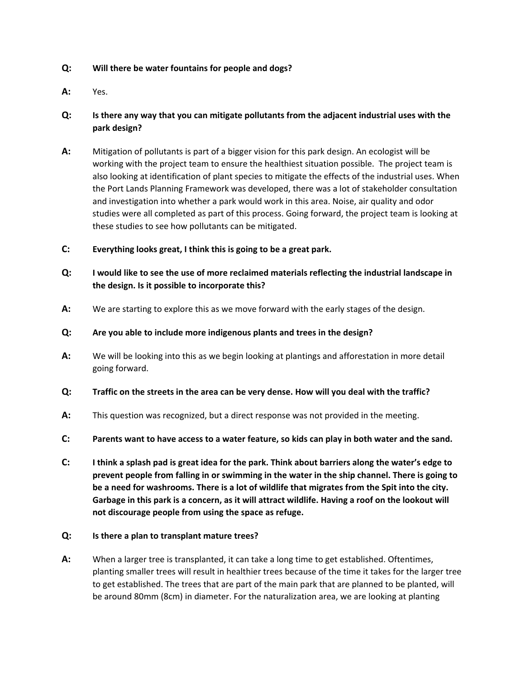#### **Q: Will there be water fountains for people and dogs?**

**A:** Yes.

#### **Q: Is there any way that you can mitigate pollutants from the adjacent industrial uses with the park design?**

- **A:** Mitigation of pollutants is part of a bigger vision for this park design. An ecologist will be working with the project team to ensure the healthiest situation possible. The project team is also looking at identification of plant species to mitigate the effects of the industrial uses. When the Port Lands Planning Framework was developed, there was a lot of stakeholder consultation and investigation into whether a park would work in this area. Noise, air quality and odor studies were all completed as part of this process. Going forward, the project team is looking at these studies to see how pollutants can be mitigated.
- **C: Everything looks great, I think this is going to be a great park.**
- **Q: I would like to see the use of more reclaimed materials reflecting the industrial landscape in the design. Is it possible to incorporate this?**
- **A:** We are starting to explore this as we move forward with the early stages of the design.
- **Q: Are you able to include more indigenous plants and trees in the design?**
- **A:** We will be looking into this as we begin looking at plantings and afforestation in more detail going forward.
- **Q: Traffic on the streets in the area can be very dense. How will you deal with the traffic?**
- **A:** This question was recognized, but a direct response was not provided in the meeting.
- **C: Parents want to have access to a water feature, so kids can play in both water and the sand.**
- **C: I think a splash pad is great idea for the park. Think about barriers along the water's edge to prevent people from falling in or swimming in the water in the ship channel. There is going to be a need for washrooms. There is a lot of wildlife that migrates from the Spit into the city. Garbage in this park is a concern, as it will attract wildlife. Having a roof on the lookout will not discourage people from using the space as refuge.**

#### **Q: Is there a plan to transplant mature trees?**

**A:** When a larger tree is transplanted, it can take a long time to get established. Oftentimes, planting smaller trees will result in healthier trees because of the time it takes for the larger tree to get established. The trees that are part of the main park that are planned to be planted, will be around 80mm (8cm) in diameter. For the naturalization area, we are looking at planting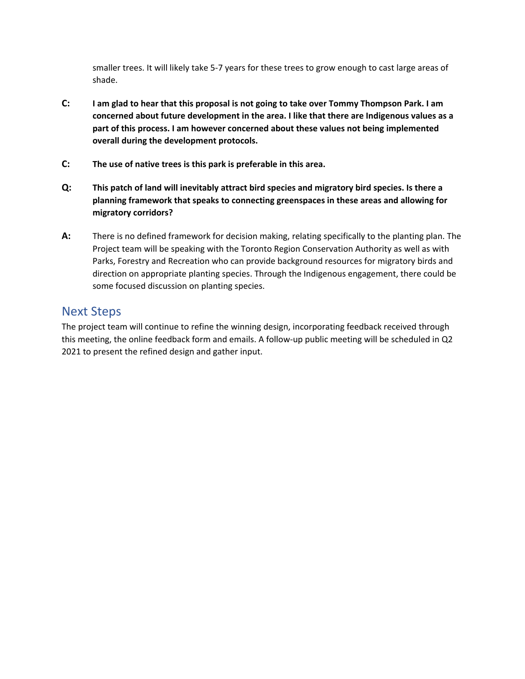smaller trees. It will likely take 5-7 years for these trees to grow enough to cast large areas of shade.

- **C: I am glad to hear that this proposal is not going to take over Tommy Thompson Park. I am concerned about future development in the area. I like that there are Indigenous values as a part of this process. I am however concerned about these values not being implemented overall during the development protocols.**
- **C: The use of native trees is this park is preferable in this area.**
- **Q: This patch of land will inevitably attract bird species and migratory bird species. Is there a planning framework that speaks to connecting greenspaces in these areas and allowing for migratory corridors?**
- **A:** There is no defined framework for decision making, relating specifically to the planting plan. The Project team will be speaking with the Toronto Region Conservation Authority as well as with Parks, Forestry and Recreation who can provide background resources for migratory birds and direction on appropriate planting species. Through the Indigenous engagement, there could be some focused discussion on planting species.

### Next Steps

The project team will continue to refine the winning design, incorporating feedback received through this meeting, the online feedback form and emails. A follow-up public meeting will be scheduled in Q2 2021 to present the refined design and gather input.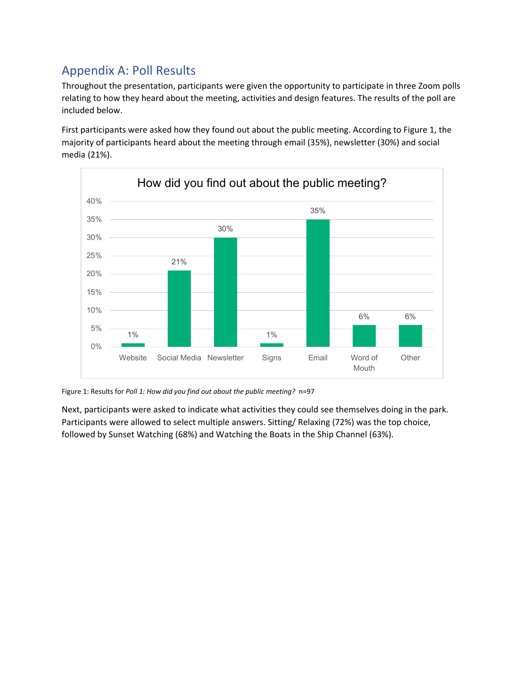# Appendix A: Poll Results

Throughout the presentation, participants were given the opportunity to participate in three Zoom polls relating to how they heard about the meeting, activities and design features. The results of the poll are included below.

First participants were asked how they found out about the public meeting. According to Figure 1, the majority of participants heard about the meeting through email (35%), newsletter (30%) and social media (21%).



Figure 1: Results for *Poll 1: How did you find out about the public meeting?* n=97

Next, participants were asked to indicate what activities they could see themselves doing in the park. Participants were allowed to select multiple answers. Sitting/ Relaxing (72%) was the top choice, followed by Sunset Watching (68%) and Watching the Boats in the Ship Channel (63%).